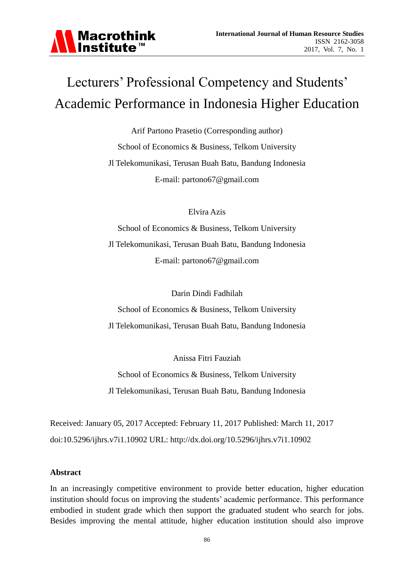

# Lecturers' Professional Competency and Students' Academic Performance in Indonesia Higher Education

Arif Partono Prasetio (Corresponding author) School of Economics & Business, Telkom University Jl Telekomunikasi, Terusan Buah Batu, Bandung Indonesia E-mail: partono67@gmail.com

Elvira Azis

School of Economics & Business, Telkom University Jl Telekomunikasi, Terusan Buah Batu, Bandung Indonesia E-mail: partono67@gmail.com

Darin Dindi Fadhilah

School of Economics & Business, Telkom University Jl Telekomunikasi, Terusan Buah Batu, Bandung Indonesia

Anissa Fitri Fauziah

School of Economics & Business, Telkom University Jl Telekomunikasi, Terusan Buah Batu, Bandung Indonesia

Received: January 05, 2017 Accepted: February 11, 2017 Published: March 11, 2017 doi:10.5296/ijhrs.v7i1.10902 URL: http://dx.doi.org/10.5296/ijhrs.v7i1.10902

#### **Abstract**

In an increasingly competitive environment to provide better education, higher education institution should focus on improving the students' academic performance. This performance embodied in student grade which then support the graduated student who search for jobs. Besides improving the mental attitude, higher education institution should also improve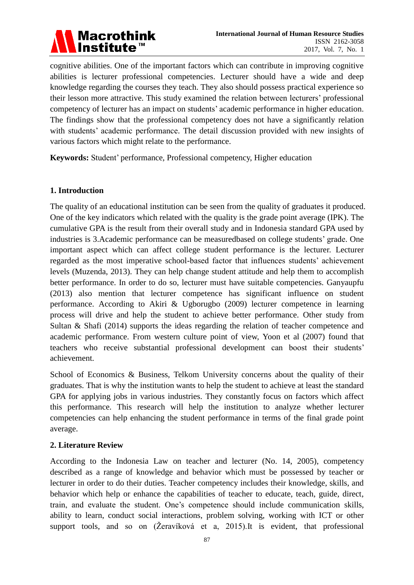

cognitive abilities. One of the important factors which can contribute in improving cognitive abilities is lecturer professional competencies. Lecturer should have a wide and deep knowledge regarding the courses they teach. They also should possess practical experience so their lesson more attractive. This study examined the relation between lecturers' professional competency of lecturer has an impact on students' academic performance in higher education. The findings show that the professional competency does not have a significantly relation with students' academic performance. The detail discussion provided with new insights of various factors which might relate to the performance.

**Keywords:** Student' performance, Professional competency, Higher education

## **1. Introduction**

The quality of an educational institution can be seen from the quality of graduates it produced. One of the key indicators which related with the quality is the grade point average (IPK). The cumulative GPA is the result from their overall study and in Indonesia standard GPA used by industries is 3.Academic performance can be measuredbased on college students' grade. One important aspect which can affect college student performance is the lecturer. Lecturer regarded as the most imperative school-based factor that influences students' achievement levels (Muzenda, 2013). They can help change student attitude and help them to accomplish better performance. In order to do so, lecturer must have suitable competencies. Ganyaupfu (2013) also mention that lecturer competence has significant influence on student performance. According to Akiri & Ugborugbo (2009) lecturer competence in learning process will drive and help the student to achieve better performance. Other study from Sultan & Shafi (2014) supports the ideas regarding the relation of teacher competence and academic performance. From western culture point of view, Yoon et al (2007) found that teachers who receive substantial professional development can boost their students' achievement.

School of Economics & Business, Telkom University concerns about the quality of their graduates. That is why the institution wants to help the student to achieve at least the standard GPA for applying jobs in various industries. They constantly focus on factors which affect this performance. This research will help the institution to analyze whether lecturer competencies can help enhancing the student performance in terms of the final grade point average.

#### **2. Literature Review**

According to the Indonesia Law on teacher and lecturer (No. 14, 2005), competency described as a range of knowledge and behavior which must be possessed by teacher or lecturer in order to do their duties. Teacher competency includes their knowledge, skills, and behavior which help or enhance the capabilities of teacher to educate, teach, guide, direct, train, and evaluate the student. One's competence should include communication skills, ability to learn, conduct social interactions, problem solving, working with ICT or other support tools, and so on (Žeravíková et a, 2015).It is evident, that professional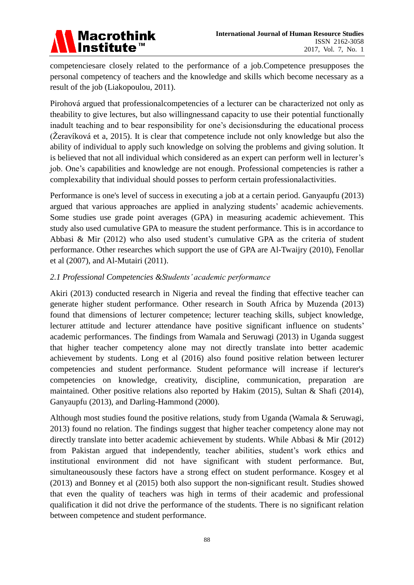

competenciesare closely related to the performance of a job.Competence presupposes the personal competency of teachers and the knowledge and skills which become necessary as a result of the job (Liakopoulou, 2011).

Pirohová argued that professionalcompetencies of a lecturer can be characterized not only as theability to give lectures, but also willingnessand capacity to use their potential functionally inadult teaching and to bear responsibility for one's decisionsduring the educational process (Žeravíková et a, 2015). It is clear that competence include not only knowledge but also the ability of individual to apply such knowledge on solving the problems and giving solution. It is believed that not all individual which considered as an expert can perform well in lecturer's job. One's capabilities and knowledge are not enough. Professional competencies is rather a complexability that individual should posses to perform certain professionalactivities.

Performance is one's level of success in executing a job at a certain period. Ganyaupfu (2013) argued that various approaches are applied in analyzing students' academic achievements. Some studies use grade point averages (GPA) in measuring academic achievement. This study also used cumulative GPA to measure the student performance. This is in accordance to Abbasi & Mir (2012) who also used student's cumulative GPA as the criteria of student performance. Other researches which support the use of GPA are Al-Twaijry (2010), Fenollar et al (2007), and Al-Mutairi (2011).

## *2.1 Professional Competencies &Students' academic performance*

Akiri (2013) conducted research in Nigeria and reveal the finding that effective teacher can generate higher student performance. Other research in South Africa by Muzenda (2013) found that dimensions of lecturer competence; lecturer teaching skills, subject knowledge, lecturer attitude and lecturer attendance have positive significant influence on students' academic performances. The findings from Wamala and Seruwagi (2013) in Uganda suggest that higher teacher competency alone may not directly translate into better academic achievement by students. Long et al (2016) also found positive relation between lecturer competencies and student performance. Student peformance will increase if lecturer's competencies on knowledge, creativity, discipline, communication, preparation are maintained. Other positive relations also reported by Hakim (2015), Sultan & Shafi (2014), Ganyaupfu (2013), and Darling-Hammond (2000).

Although most studies found the positive relations, study from Uganda (Wamala & Seruwagi, 2013) found no relation. The findings suggest that higher teacher competency alone may not directly translate into better academic achievement by students. While Abbasi & Mir (2012) from Pakistan argued that independently, teacher abilities, student's work ethics and institutional environment did not have significant with student performance. But, simultaneousously these factors have a strong effect on student performance. Kosgey et al (2013) and Bonney et al (2015) both also support the non-significant result. Studies showed that even the quality of teachers was high in terms of their academic and professional qualification it did not drive the performance of the students. There is no significant relation between competence and student performance.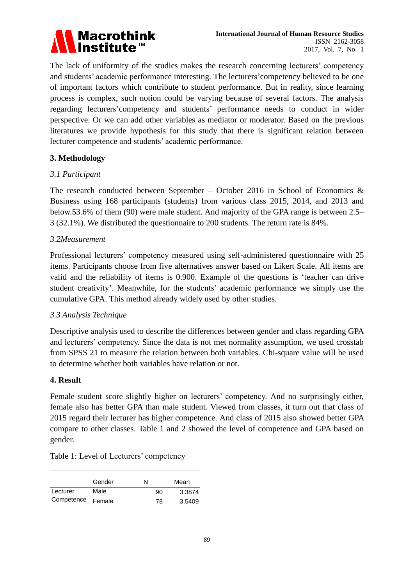

The lack of uniformity of the studies makes the research concerning lecturers' competency and students' academic performance interesting. The lecturers'competency believed to be one of important factors which contribute to student performance. But in reality, since learning process is complex, such notion could be varying because of several factors. The analysis regarding lecturers'competency and students' performance needs to conduct in wider perspective. Or we can add other variables as mediator or moderator. Based on the previous literatures we provide hypothesis for this study that there is significant relation between lecturer competence and students' academic performance.

## **3. Methodology**

## *3.1 Participant*

The research conducted between September – October 2016 in School of Economics  $\&$ Business using 168 participants (students) from various class 2015, 2014, and 2013 and below.53.6% of them (90) were male student. And majority of the GPA range is between 2.5– 3 (32.1%). We distributed the questionnaire to 200 students. The return rate is 84%.

## *3.2Measurement*

Professional lecturers' competency measured using self-administered questionnaire with 25 items. Participants choose from five alternatives answer based on Likert Scale. All items are valid and the reliability of items is 0.900. Example of the questions is 'teacher can drive student creativity'. Meanwhile, for the students' academic performance we simply use the cumulative GPA. This method already widely used by other studies.

#### *3.3 Analysis Technique*

Descriptive analysis used to describe the differences between gender and class regarding GPA and lecturers' competency. Since the data is not met normality assumption, we used crosstab from SPSS 21 to measure the relation between both variables. Chi-square value will be used to determine whether both variables have relation or not.

#### **4. Result**

Female student score slightly higher on lecturers' competency. And no surprisingly either, female also has better GPA than male student. Viewed from classes, it turn out that class of 2015 regard their lecturer has higher competence. And class of 2015 also showed better GPA compare to other classes. Table 1 and 2 showed the level of competence and GPA based on gender.

|  |  | Table 1: Level of Lecturers' competency |  |
|--|--|-----------------------------------------|--|
|  |  |                                         |  |

|            | Gender | N  | Mean   |
|------------|--------|----|--------|
| Lecturer   | Male   | 90 | 3.3874 |
| Competence | Female | 78 | 3.5409 |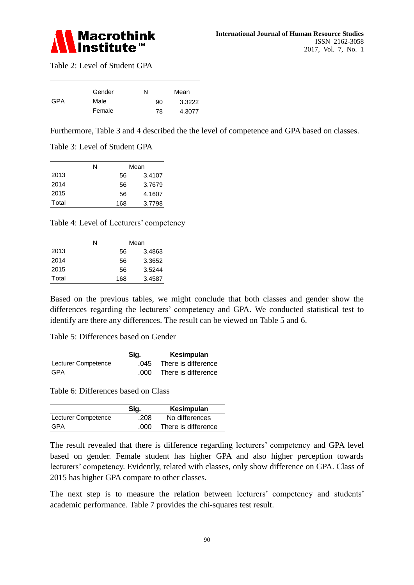

Table 2: Level of Student GPA

|     | Gender | N  | Mean   |
|-----|--------|----|--------|
| GPA | Male   | 90 | 3.3222 |
|     | Female | 78 | 4.3077 |

Furthermore, Table 3 and 4 described the the level of competence and GPA based on classes.

Table 3: Level of Student GPA

|       | N |     | Mean   |
|-------|---|-----|--------|
| 2013  |   | 56  | 3.4107 |
| 2014  |   | 56  | 3.7679 |
| 2015  |   | 56  | 4.1607 |
| Total |   | 168 | 3.7798 |

Table 4: Level of Lecturers' competency

|       | N | Mean |        |
|-------|---|------|--------|
| 2013  |   | 56   | 3.4863 |
| 2014  |   | 56   | 3.3652 |
| 2015  |   | 56   | 3.5244 |
| Total |   | 168  | 3.4587 |

Based on the previous tables, we might conclude that both classes and gender show the differences regarding the lecturers' competency and GPA. We conducted statistical test to identify are there any differences. The result can be viewed on Table 5 and 6.

Table 5: Differences based on Gender

|                     | Sig. | Kesimpulan          |
|---------------------|------|---------------------|
| Lecturer Competence | .045 | There is difference |
| GPA                 | .000 | There is difference |

Table 6: Differences based on Class

|                     | Sig. | Kesimpulan          |
|---------------------|------|---------------------|
| Lecturer Competence | .208 | No differences      |
| GPA                 | .000 | There is difference |

The result revealed that there is difference regarding lecturers' competency and GPA level based on gender. Female student has higher GPA and also higher perception towards lecturers' competency. Evidently, related with classes, only show difference on GPA. Class of 2015 has higher GPA compare to other classes.

The next step is to measure the relation between lecturers' competency and students' academic performance. Table 7 provides the chi-squares test result.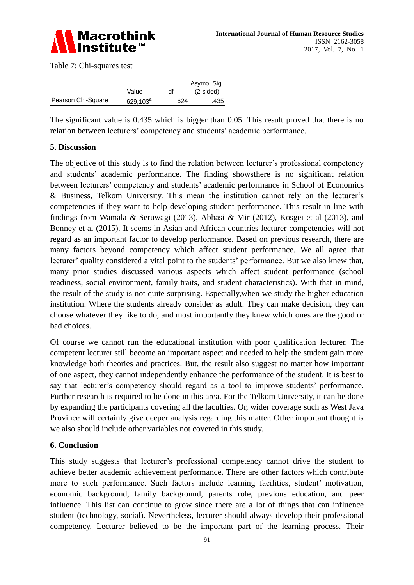

Table 7: Chi-squares test

|                    |                      |     | Asymp. Sig. |
|--------------------|----------------------|-----|-------------|
|                    | Value                | df  | $(2-sided)$ |
| Pearson Chi-Square | 629,103 <sup>a</sup> | 624 | .435        |

The significant value is 0.435 which is bigger than 0.05. This result proved that there is no relation between lecturers' competency and students' academic performance.

# **5. Discussion**

The objective of this study is to find the relation between lecturer's professional competency and students' academic performance. The finding showsthere is no significant relation between lecturers' competency and students' academic performance in School of Economics & Business, Telkom University. This mean the institution cannot rely on the lecturer's competencies if they want to help developing student performance. This result in line with findings from Wamala & Seruwagi (2013), Abbasi & Mir (2012), Kosgei et al (2013), and Bonney et al (2015). It seems in Asian and African countries lecturer competencies will not regard as an important factor to develop performance. Based on previous research, there are many factors beyond competency which affect student performance. We all agree that lecturer' quality considered a vital point to the students' performance. But we also knew that, many prior studies discussed various aspects which affect student performance (school readiness, social environment, family traits, and student characteristics). With that in mind, the result of the study is not quite surprising. Especially,when we study the higher education institution. Where the students already consider as adult. They can make decision, they can choose whatever they like to do, and most importantly they knew which ones are the good or bad choices.

Of course we cannot run the educational institution with poor qualification lecturer. The competent lecturer still become an important aspect and needed to help the student gain more knowledge both theories and practices. But, the result also suggest no matter how important of one aspect, they cannot independently enhance the performance of the student. It is best to say that lecturer's competency should regard as a tool to improve students' performance. Further research is required to be done in this area. For the Telkom University, it can be done by expanding the participants covering all the faculties. Or, wider coverage such as West Java Province will certainly give deeper analysis regarding this matter. Other important thought is we also should include other variables not covered in this study.

#### **6. Conclusion**

This study suggests that lecturer's professional competency cannot drive the student to achieve better academic achievement performance. There are other factors which contribute more to such performance. Such factors include learning facilities, student' motivation, economic background, family background, parents role, previous education, and peer influence. This list can continue to grow since there are a lot of things that can influence student (technology, social). Nevertheless, lecturer should always develop their professional competency. Lecturer believed to be the important part of the learning process. Their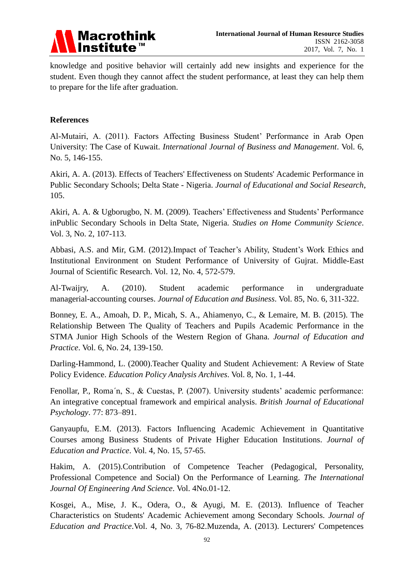

knowledge and positive behavior will certainly add new insights and experience for the student. Even though they cannot affect the student performance, at least they can help them to prepare for the life after graduation.

## **References**

Al-Mutairi, A. (2011). Factors Affecting Business Student' Performance in Arab Open University: The Case of Kuwait. *International Journal of Business and Management*. Vol. 6, No. 5, 146-155.

Akiri, A. A. (2013). Effects of Teachers' Effectiveness on Students' Academic Performance in Public Secondary Schools; Delta State - Nigeria. *Journal of Educational and Social Research*, 105.

Akiri, A. A. & Ugborugbo, N. M. (2009). Teachers' Effectiveness and Students' Performance inPublic Secondary Schools in Delta State, Nigeria. *Studies on Home Community Science*. Vol. 3, No. 2, 107-113.

Abbasi, A.S. and Mir, G.M. (2012).Impact of Teacher's Ability, Student's Work Ethics and Institutional Environment on Student Performance of University of Gujrat. Middle-East Journal of Scientific Research. Vol. 12, No. 4, 572-579.

Al-Twaijry, A. (2010). Student academic performance in undergraduate managerial-accounting courses. *Journal of Education and Business*. Vol. 85, No. 6, 311-322.

Bonney, E. A., Amoah, D. P., Micah, S. A., Ahiamenyo, C., & Lemaire, M. B. (2015). The Relationship Between The Quality of Teachers and Pupils Academic Performance in the STMA Junior High Schools of the Western Region of Ghana. *Journal of Education and Practice*. Vol. 6, No. 24, 139-150.

Darling-Hammond, L. (2000).Teacher Quality and Student Achievement: A Review of State Policy Evidence. *Education Policy Analysis Archives*. Vol. 8, No. 1, 1-44.

Fenollar, P., Roma´n, S., & Cuestas, P. (2007). University students' academic performance: An integrative conceptual framework and empirical analysis. *British Journal of Educational Psychology*. 77: 873–891.

Ganyaupfu, E.M. (2013). Factors Influencing Academic Achievement in Quantitative Courses among Business Students of Private Higher Education Institutions. *Journal of Education and Practice*. Vol. 4, No. 15, 57-65.

Hakim, A. (2015).Contribution of Competence Teacher (Pedagogical, Personality, Professional Competence and Social) On the Performance of Learning. *The International Journal Of Engineering And Science*. Vol. 4No.01-12.

Kosgei, A., Mise, J. K., Odera, O., & Ayugi, M. E. (2013). Influence of Teacher Characteristics on Students' Academic Achievement among Secondary Schools. *Journal of Education and Practice*.Vol. 4, No. 3, 76-82.Muzenda, A. (2013). Lecturers' Competences